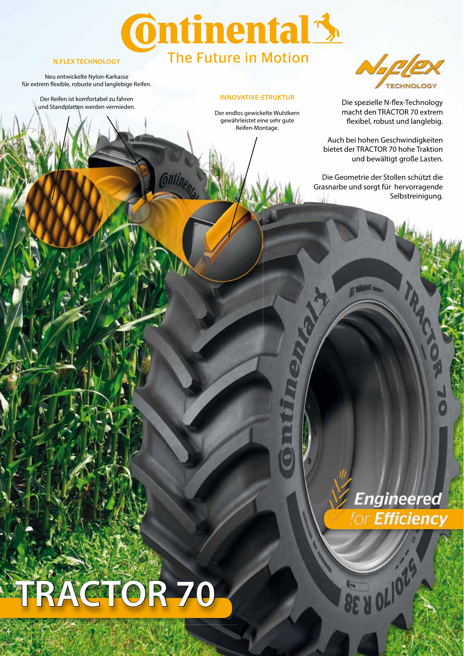## **Ontinental 3** The Future in Motion

### **N.FLEX TECHNOLOGY**

Neu entwickelte Nylon-Karkasse für extrem flexible, robuste und langlebige Reifen.

> Der Reifen ist komfortabel zu fahren und Standplatten werden vermieden.

#### **INNOVATIVE-STRUKTUR**

Der endlos gewickelte Wulstkern gewährleistet eine sehr gute Reifen-Montage.



Die spezielle N-flex-Technology macht den TRACTOR 70 extrem flexibel, robust und langlebig.

Auch bei hohen Geschwindigkeiten bietet der TRACTOR 70 hohe Traktion und bewältigt große Lasten.

Die Geometrie der Stollen schützt die Grasnarbe und sorgt für hervorragende Selbstreinigung.

# **TRACTOR 70**



BE A OLIOL